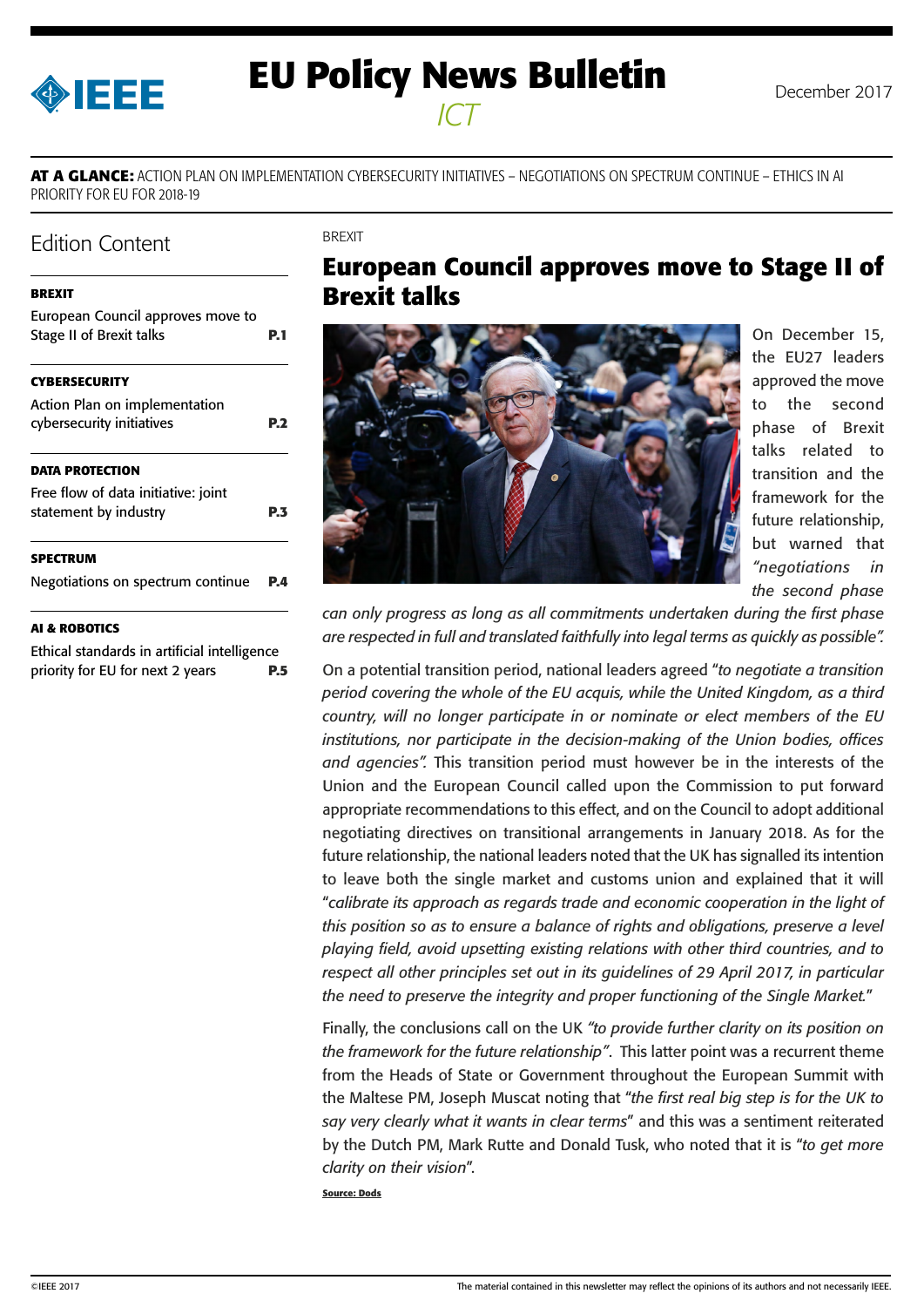<span id="page-0-0"></span>

# **EU Policy News Bulletin** December 2017 *ICT*

**AT A GLANCE:** ACTION PLAN ON IMPLEMENTATION CYBERSECURITY INITIATIVES – NEGOTIATIONS ON SPECTRUM CONTINUE – ETHICS IN AI PRIORITY FOR EU FOR 2018-19

BREXIT

## Edition Content

#### **BREXIT**

| European Council approves move to<br><b>Stage II of Brexit talks</b> | P. 1       |
|----------------------------------------------------------------------|------------|
| <b>CYBERSECURITY</b>                                                 |            |
| Action Plan on implementation<br>cybersecurity initiatives           | <b>P.2</b> |
| <b>DATA PROTECTION</b>                                               |            |
| Free flow of data initiative: joint<br>statement by industry         | P.3        |
| <b>SPECTRUM</b>                                                      |            |
| Negotiations on spectrum continue                                    | P.4        |

## **[AI & ROBOTICS](#page-4-0)**

[Ethical standards in artificial intelligence](#page-4-0)  [priority for EU for next 2 years](#page-4-0) **P.5**

## **European Council approves move to Stage II of Brexit talks**



On December 15, the EU27 leaders approved the move to the second phase of Brexit talks related to transition and the framework for the future relationship, but warned that *"negotiations in the second phase* 

*can only progress as long as all commitments undertaken during the first phase are respected in full and translated faithfully into legal terms as quickly as possible".*

On a potential transition period, national leaders agreed "*to negotiate a transition period covering the whole of the EU acquis, while the United Kingdom, as a third country, will no longer participate in or nominate or elect members of the EU institutions, nor participate in the decision-making of the Union bodies, offices and agencies".* This transition period must however be in the interests of the Union and the European Council called upon the Commission to put forward appropriate recommendations to this effect, and on the Council to adopt additional negotiating directives on transitional arrangements in January 2018. As for the future relationship, the national leaders noted that the UK has signalled its intention to leave both the single market and customs union and explained that it will "*calibrate its approach as regards trade and economic cooperation in the light of this position so as to ensure a balance of rights and obligations, preserve a level playing field, avoid upsetting existing relations with other third countries, and to respect all other principles set out in its guidelines of 29 April 2017, in particular the need to preserve the integrity and proper functioning of the Single Market.*"

Finally, the conclusions call on the UK *"to provide further clarity on its position on the framework for the future relationship"*. This latter point was a recurrent theme from the Heads of State or Government throughout the European Summit with the Maltese PM, Joseph Muscat noting that "*the first real big step is for the UK to say very clearly what it wants in clear terms*" and this was a sentiment reiterated by the Dutch PM, Mark Rutte and Donald Tusk, who noted that it is "*to get more clarity on their vision*".

**Source: Dods**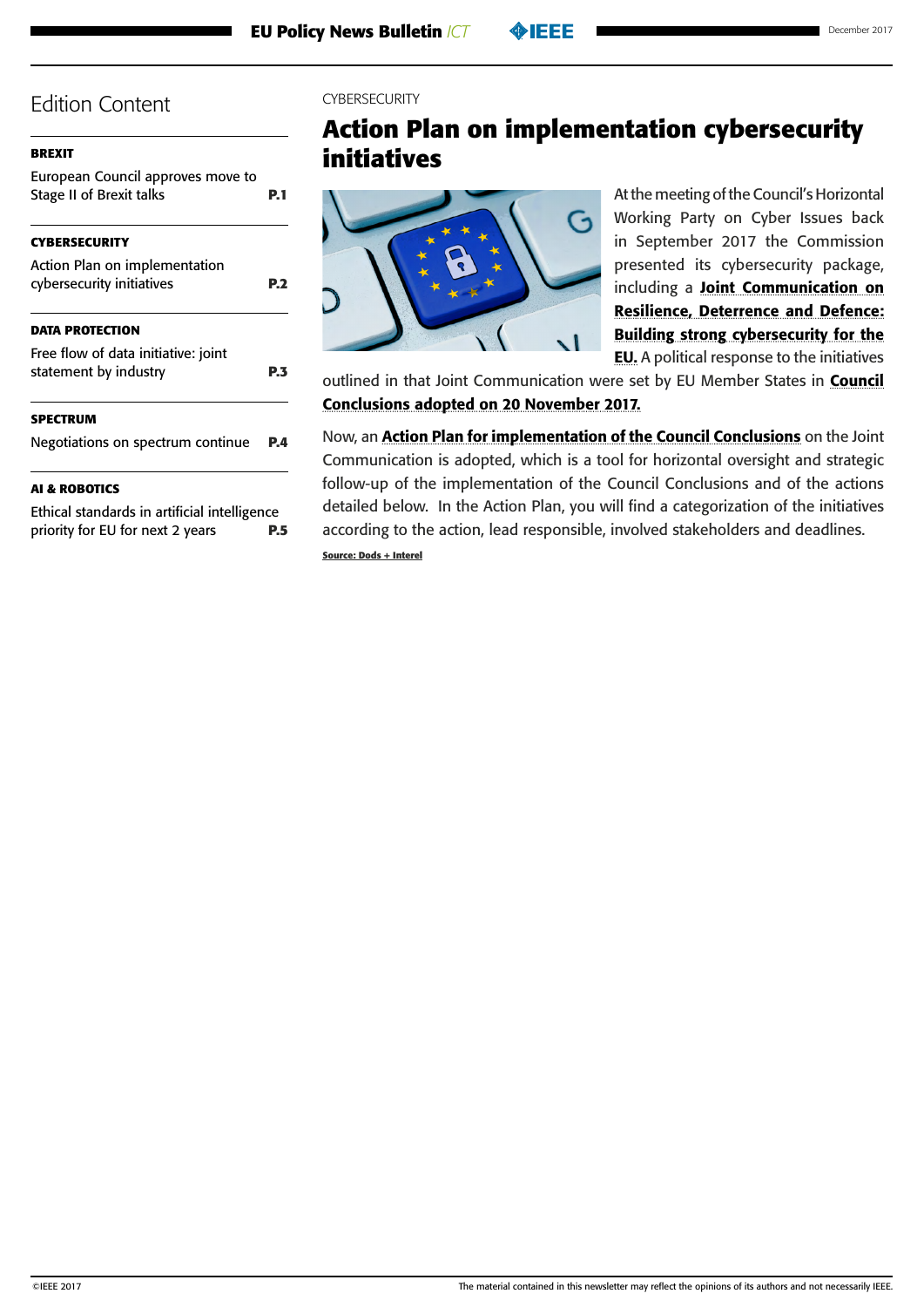<span id="page-1-0"></span>

| <b>BREXIT</b>                                                        |      |
|----------------------------------------------------------------------|------|
| European Council approves move to<br><b>Stage II of Brexit talks</b> | P. 1 |
| CYBERSECURITY                                                        |      |
| Action Plan on implementation                                        |      |
| cybersecurity initiatives                                            | P.2  |
| DATA PROTECTION                                                      |      |
| Free flow of data initiative: joint                                  |      |
| statement by industry                                                | P.3  |
| SPECTRUM                                                             |      |
| Negotiations on spectrum continue                                    | P.4  |
| <b>AI &amp; ROBOTICS</b>                                             |      |
| Ethical standards in artificial intelligence                         |      |

[priority for EU for next 2 years](#page-4-0) **P.5**

### CYRERSECURITY

# **Action Plan on implementation cybersecurity initiatives**



At the meeting of the Council's Horizontal Working Party on Cyber Issues back in September 2017 the Commission presented its cybersecurity package, including a [Joint Communication on](http://eur-lex.europa.eu/legal-content/EN/TXT/PDF/?uri=CELEX:52017JC0450&from=EN)  [Resilience, Deterrence and Defence:](http://eur-lex.europa.eu/legal-content/EN/TXT/PDF/?uri=CELEX:52017JC0450&from=EN)  [Building strong cybersecurity for the](http://eur-lex.europa.eu/legal-content/EN/TXT/PDF/?uri=CELEX:52017JC0450&from=EN)  **[EU](http://eur-lex.europa.eu/legal-content/EN/TXT/PDF/?uri=CELEX:52017JC0450&from=EN).** A political response to the initiatives

outlined in that Joint Communication were set by EU Member States in **Council** [Conclusions adopted on 20 November 2017.](http://www.consilium.europa.eu/media/31666/st14435en17.pdf)

Now, an [Action Plan for implementation of the Council Conclusions](http://data.consilium.europa.eu/doc/document/ST-14965-2017-INIT/en/pdf) on the Joint Communication is adopted, which is a tool for horizontal oversight and strategic follow-up of the implementation of the Council Conclusions and of the actions detailed below. In the Action Plan, you will find a categorization of the initiatives according to the action, lead responsible, involved stakeholders and deadlines.

**Source: Dods + Interel**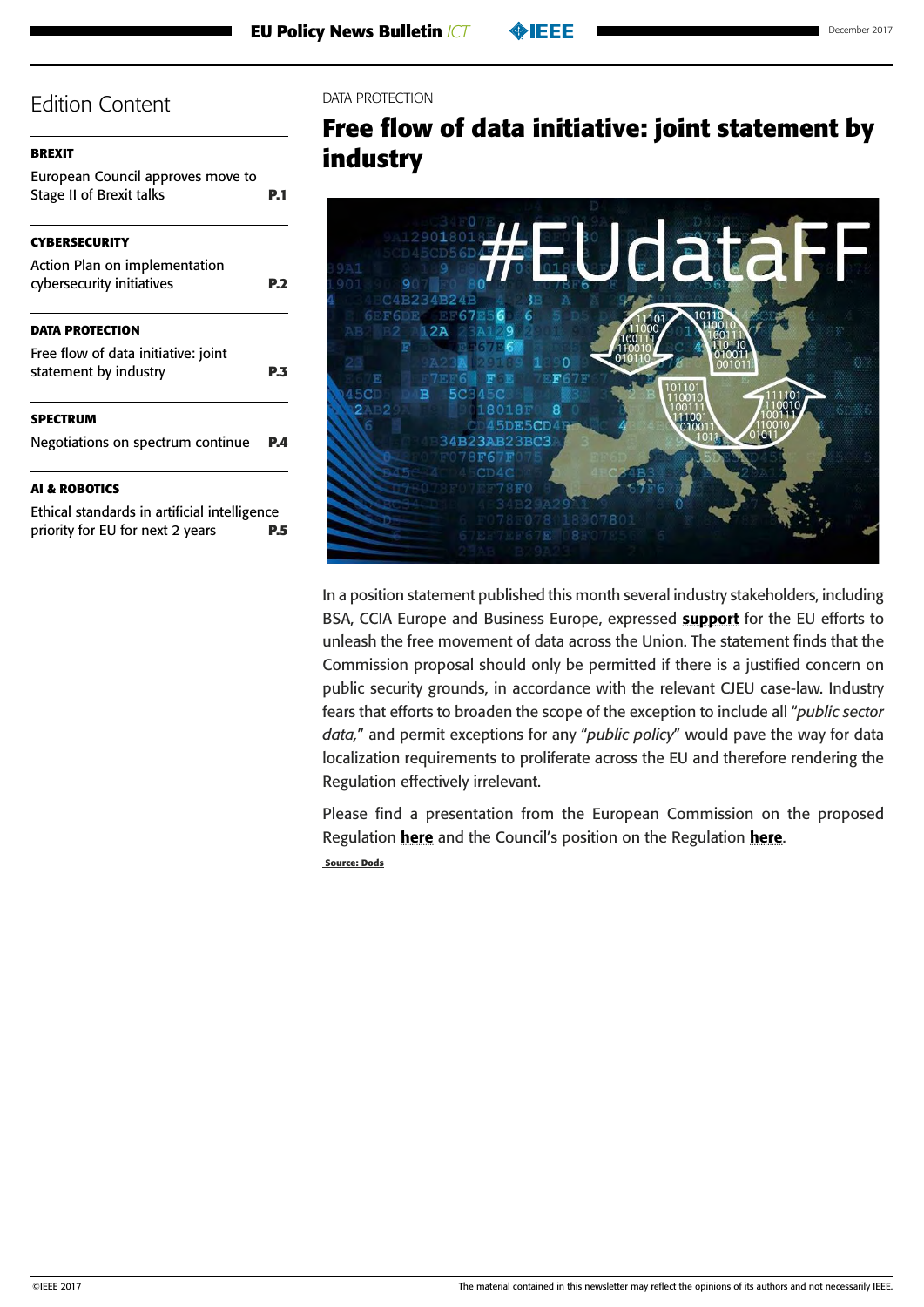<span id="page-2-0"></span>

| <b>BREXIT</b>                                                        |      |  |
|----------------------------------------------------------------------|------|--|
| European Council approves move to<br><b>Stage II of Brexit talks</b> | P. 1 |  |
| CYBERSECURITY                                                        |      |  |
| Action Plan on implementation                                        |      |  |
| cybersecurity initiatives                                            | P.2  |  |
|                                                                      |      |  |
| <b>DATA PROTECTION</b>                                               |      |  |
| Free flow of data initiative: joint                                  |      |  |
| statement by industry                                                | P.3  |  |
| SPECTRUM                                                             |      |  |
| Negotiations on spectrum continue                                    | P.4  |  |
|                                                                      |      |  |
| <b>AI &amp; ROBOTICS</b>                                             |      |  |
|                                                                      |      |  |

[Ethical standards in artificial intelligence](#page-4-0)  [priority for EU for next 2 years](#page-4-0) **P.5**

#### DATA PROTECTION

# **Free flow of data initiative: joint statement by industry**



In a position statement published this month several industry stakeholders, including BSA, CCIA Europe and Business Europe, expressed [support](http://www.bsa.org/~/media/Files/Policy/Statements/12152017JointIndustryStatementonFFoD.PDF) for the EU efforts to unleash the free movement of data across the Union. The statement finds that the Commission proposal should only be permitted if there is a justified concern on public security grounds, in accordance with the relevant CJEU case-law. Industry fears that efforts to broaden the scope of the exception to include all "*public sector data,*" and permit exceptions for any "*public policy*" would pave the way for data localization requirements to proliferate across the EU and therefore rendering the Regulation effectively irrelevant.

Please find a presentation from the European Commission on the proposed Regulation [here](https://interelgroup-my.sharepoint.com/personal/gauthier_basse_interelgroup_com/_layouts/15/guestaccess.aspx?docid=1432a8eaf262e41279e833533ac92d038&authkey=AWYf8RnnmlTwo2IWthMgMmg&e=48760d31d6f0433584762e168a5d9f90) and the Council's position on the Regulation here.  **Source: Dods**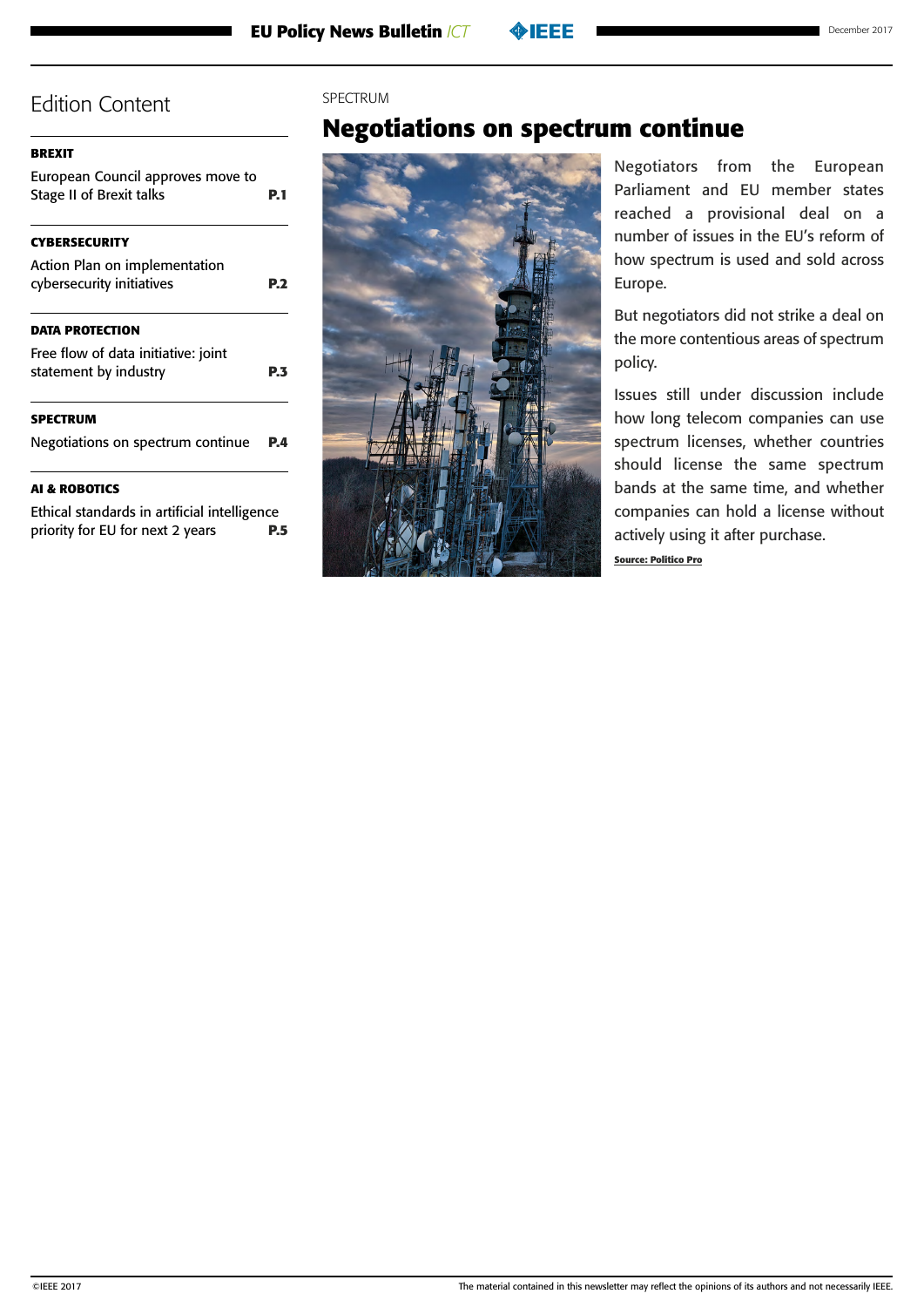#### <span id="page-3-0"></span>**[BREXIT](#page-0-0)**

[European Council approves move to](#page-0-0)  [Stage II of Brexit talks](#page-0-0) **P.1 [CYBERSECURITY](#page-1-0)** [Action Plan on implementation](#page-1-0)  [cybersecurity initiatives](#page-1-0) **P.2 [DATA PROTECTION](#page-2-0)** [Free flow of data initiative: joint](#page-2-0)  [statement by industry](#page-2-0) **P.3 SPECTRUM** Negotiations on spectrum continue **P.4 [AI & ROBOTICS](#page-4-0)**

[Ethical standards in artificial intelligence](#page-4-0)  [priority for EU for next 2 years](#page-4-0) **P.5**

#### SPECTRUM

## **Negotiations on spectrum continue**



Negotiators from the European Parliament and EU member states reached a provisional deal on a number of issues in the EU's reform of how spectrum is used and sold across Europe.

But negotiators did not strike a deal on the more contentious areas of spectrum policy.

Issues still under discussion include how long telecom companies can use spectrum licenses, whether countries should license the same spectrum bands at the same time, and whether companies can hold a license without actively using it after purchase.

**Source: Politico Pro**